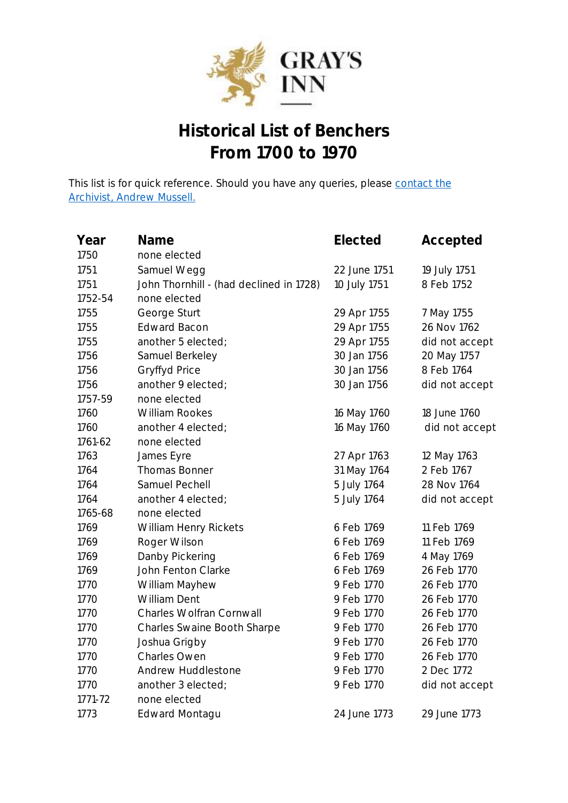

## **Historical List of Benchers From 1700 to 1970**

This list is for quick reference. Should you have any queries, please contact the [Archivist, Andrew Mussell.](mailto:andrew.mussell@graysinn.org.uk)

| Year    | Name                                    | Elected      | Accepted       |
|---------|-----------------------------------------|--------------|----------------|
| 1750    | none elected                            |              |                |
| 1751    | Samuel Wegg                             | 22 June 1751 | 19 July 1751   |
| 1751    | John Thornhill - (had declined in 1728) | 10 July 1751 | 8 Feb 1752     |
| 1752-54 | none elected                            |              |                |
| 1755    | George Sturt                            | 29 Apr 1755  | 7 May 1755     |
| 1755    | <b>Edward Bacon</b>                     | 29 Apr 1755  | 26 Nov 1762    |
| 1755    | another 5 elected;                      | 29 Apr 1755  | did not accept |
| 1756    | Samuel Berkeley                         | 30 Jan 1756  | 20 May 1757    |
| 1756    | Gryffyd Price                           | 30 Jan 1756  | 8 Feb 1764     |
| 1756    | another 9 elected;                      | 30 Jan 1756  | did not accept |
| 1757-59 | none elected                            |              |                |
| 1760    | <b>William Rookes</b>                   | 16 May 1760  | 18 June 1760   |
| 1760    | another 4 elected;                      | 16 May 1760  | did not accept |
| 1761-62 | none elected                            |              |                |
| 1763    | James Eyre                              | 27 Apr 1763  | 12 May 1763    |
| 1764    | <b>Thomas Bonner</b>                    | 31 May 1764  | 2 Feb 1767     |
| 1764    | Samuel Pechell                          | 5 July 1764  | 28 Nov 1764    |
| 1764    | another 4 elected;                      | 5 July 1764  | did not accept |
| 1765-68 | none elected                            |              |                |
| 1769    | William Henry Rickets                   | 6 Feb 1769   | 11 Feb 1769    |
| 1769    | Roger Wilson                            | 6 Feb 1769   | 11 Feb 1769    |
| 1769    | Danby Pickering                         | 6 Feb 1769   | 4 May 1769     |
| 1769    | John Fenton Clarke                      | 6 Feb 1769   | 26 Feb 1770    |
| 1770    | William Mayhew                          | 9 Feb 1770   | 26 Feb 1770    |
| 1770    | <b>William Dent</b>                     | 9 Feb 1770   | 26 Feb 1770    |
| 1770    | Charles Wolfran Cornwall                | 9 Feb 1770   | 26 Feb 1770    |
| 1770    | Charles Swaine Booth Sharpe             | 9 Feb 1770   | 26 Feb 1770    |
| 1770    | Joshua Grigby                           | 9 Feb 1770   | 26 Feb 1770    |
| 1770    | Charles Owen                            | 9 Feb 1770   | 26 Feb 1770    |
| 1770    | Andrew Huddlestone                      | 9 Feb 1770   | 2 Dec 1772     |
| 1770    | another 3 elected;                      | 9 Feb 1770   | did not accept |
| 1771-72 | none elected                            |              |                |
| 1773    | <b>Edward Montagu</b>                   | 24 June 1773 | 29 June 1773   |
|         |                                         |              |                |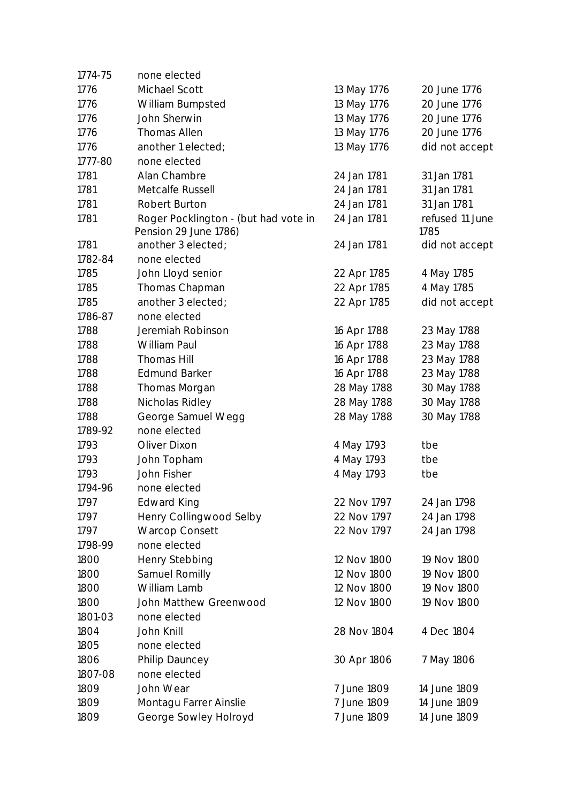| Michael Scott<br>1776<br>20 June 1776<br>13 May 1776<br>13 May 1776<br>1776<br>William Bumpsted<br>20 June 1776<br>John Sherwin<br>13 May 1776<br>1776<br>20 June 1776<br>13 May 1776<br>1776<br>Thomas Allen<br>20 June 1776<br>1776<br>another 1 elected;<br>13 May 1776<br>did not accept<br>1777-80<br>none elected<br>Alan Chambre<br>24 Jan 1781<br>31 Jan 1781<br>1781<br>Metcalfe Russell<br>1781<br>24 Jan 1781<br>31 Jan 1781<br>1781<br>Robert Burton<br>24 Jan 1781<br>31 Jan 1781<br>1781<br>Roger Pocklington - (but had vote in<br>24 Jan 1781<br>refused 11 June<br>Pension 29 June 1786)<br>1785<br>another 3 elected;<br>1781<br>24 Jan 1781<br>did not accept<br>1782-84<br>none elected<br>1785<br>John Lloyd senior<br>22 Apr 1785<br>4 May 1785<br>Thomas Chapman<br>22 Apr 1785<br>4 May 1785<br>1785<br>1785<br>another 3 elected;<br>22 Apr 1785<br>did not accept<br>1786-87<br>none elected<br>1788<br>Jeremiah Robinson<br>16 Apr 1788<br>23 May 1788<br>William Paul<br>1788<br>16 Apr 1788<br>23 May 1788<br>1788<br>Thomas Hill<br>16 Apr 1788<br>23 May 1788<br>1788<br><b>Edmund Barker</b><br>16 Apr 1788<br>23 May 1788<br>1788<br>Thomas Morgan<br>28 May 1788<br>30 May 1788<br>Nicholas Ridley<br>28 May 1788<br>30 May 1788<br>1788<br>1788<br>George Samuel Wegg<br>28 May 1788<br>30 May 1788<br>1789-92<br>none elected<br>1793<br>Oliver Dixon<br>tbe<br>4 May 1793<br>4 May 1793<br>1793<br>John Topham<br>tbe<br>1793<br>John Fisher<br>4 May 1793<br>tbe<br>1794-96<br>none elected<br>1797<br>22 Nov 1797<br>24 Jan 1798<br>Edward King<br>22 Nov 1797<br>1797<br>Henry Collingwood Selby<br>24 Jan 1798<br>1797<br>22 Nov 1797<br><b>Warcop Consett</b><br>24 Jan 1798<br>none elected<br>1798-99<br>1800<br>Henry Stebbing<br>12 Nov 1800<br>19 Nov 1800<br>1800<br>Samuel Romilly<br>12 Nov 1800<br>19 Nov 1800<br>1800<br>William Lamb<br>12 Nov 1800<br>19 Nov 1800<br>1800<br>John Matthew Greenwood<br>12 Nov 1800<br>19 Nov 1800<br>1801-03<br>none elected<br>John Knill<br>1804<br>28 Nov 1804<br>4 Dec 1804<br>1805<br>none elected<br>1806<br>Philip Dauncey<br>30 Apr 1806<br>7 May 1806<br>1807-08<br>none elected<br>John Wear<br>1809<br>7 June 1809<br>14 June 1809<br>1809<br>7 June 1809<br>Montagu Farrer Ainslie<br>14 June 1809<br>1809<br>George Sowley Holroyd<br>7 June 1809<br>14 June 1809 | 1774-75 | none elected |  |
|----------------------------------------------------------------------------------------------------------------------------------------------------------------------------------------------------------------------------------------------------------------------------------------------------------------------------------------------------------------------------------------------------------------------------------------------------------------------------------------------------------------------------------------------------------------------------------------------------------------------------------------------------------------------------------------------------------------------------------------------------------------------------------------------------------------------------------------------------------------------------------------------------------------------------------------------------------------------------------------------------------------------------------------------------------------------------------------------------------------------------------------------------------------------------------------------------------------------------------------------------------------------------------------------------------------------------------------------------------------------------------------------------------------------------------------------------------------------------------------------------------------------------------------------------------------------------------------------------------------------------------------------------------------------------------------------------------------------------------------------------------------------------------------------------------------------------------------------------------------------------------------------------------------------------------------------------------------------------------------------------------------------------------------------------------------------------------------------------------------------------------------------------------------------------------------------------------------------------------------------------------------------------------------------------------------------------------------------------------------------|---------|--------------|--|
|                                                                                                                                                                                                                                                                                                                                                                                                                                                                                                                                                                                                                                                                                                                                                                                                                                                                                                                                                                                                                                                                                                                                                                                                                                                                                                                                                                                                                                                                                                                                                                                                                                                                                                                                                                                                                                                                                                                                                                                                                                                                                                                                                                                                                                                                                                                                                                      |         |              |  |
|                                                                                                                                                                                                                                                                                                                                                                                                                                                                                                                                                                                                                                                                                                                                                                                                                                                                                                                                                                                                                                                                                                                                                                                                                                                                                                                                                                                                                                                                                                                                                                                                                                                                                                                                                                                                                                                                                                                                                                                                                                                                                                                                                                                                                                                                                                                                                                      |         |              |  |
|                                                                                                                                                                                                                                                                                                                                                                                                                                                                                                                                                                                                                                                                                                                                                                                                                                                                                                                                                                                                                                                                                                                                                                                                                                                                                                                                                                                                                                                                                                                                                                                                                                                                                                                                                                                                                                                                                                                                                                                                                                                                                                                                                                                                                                                                                                                                                                      |         |              |  |
|                                                                                                                                                                                                                                                                                                                                                                                                                                                                                                                                                                                                                                                                                                                                                                                                                                                                                                                                                                                                                                                                                                                                                                                                                                                                                                                                                                                                                                                                                                                                                                                                                                                                                                                                                                                                                                                                                                                                                                                                                                                                                                                                                                                                                                                                                                                                                                      |         |              |  |
|                                                                                                                                                                                                                                                                                                                                                                                                                                                                                                                                                                                                                                                                                                                                                                                                                                                                                                                                                                                                                                                                                                                                                                                                                                                                                                                                                                                                                                                                                                                                                                                                                                                                                                                                                                                                                                                                                                                                                                                                                                                                                                                                                                                                                                                                                                                                                                      |         |              |  |
|                                                                                                                                                                                                                                                                                                                                                                                                                                                                                                                                                                                                                                                                                                                                                                                                                                                                                                                                                                                                                                                                                                                                                                                                                                                                                                                                                                                                                                                                                                                                                                                                                                                                                                                                                                                                                                                                                                                                                                                                                                                                                                                                                                                                                                                                                                                                                                      |         |              |  |
|                                                                                                                                                                                                                                                                                                                                                                                                                                                                                                                                                                                                                                                                                                                                                                                                                                                                                                                                                                                                                                                                                                                                                                                                                                                                                                                                                                                                                                                                                                                                                                                                                                                                                                                                                                                                                                                                                                                                                                                                                                                                                                                                                                                                                                                                                                                                                                      |         |              |  |
|                                                                                                                                                                                                                                                                                                                                                                                                                                                                                                                                                                                                                                                                                                                                                                                                                                                                                                                                                                                                                                                                                                                                                                                                                                                                                                                                                                                                                                                                                                                                                                                                                                                                                                                                                                                                                                                                                                                                                                                                                                                                                                                                                                                                                                                                                                                                                                      |         |              |  |
|                                                                                                                                                                                                                                                                                                                                                                                                                                                                                                                                                                                                                                                                                                                                                                                                                                                                                                                                                                                                                                                                                                                                                                                                                                                                                                                                                                                                                                                                                                                                                                                                                                                                                                                                                                                                                                                                                                                                                                                                                                                                                                                                                                                                                                                                                                                                                                      |         |              |  |
|                                                                                                                                                                                                                                                                                                                                                                                                                                                                                                                                                                                                                                                                                                                                                                                                                                                                                                                                                                                                                                                                                                                                                                                                                                                                                                                                                                                                                                                                                                                                                                                                                                                                                                                                                                                                                                                                                                                                                                                                                                                                                                                                                                                                                                                                                                                                                                      |         |              |  |
|                                                                                                                                                                                                                                                                                                                                                                                                                                                                                                                                                                                                                                                                                                                                                                                                                                                                                                                                                                                                                                                                                                                                                                                                                                                                                                                                                                                                                                                                                                                                                                                                                                                                                                                                                                                                                                                                                                                                                                                                                                                                                                                                                                                                                                                                                                                                                                      |         |              |  |
|                                                                                                                                                                                                                                                                                                                                                                                                                                                                                                                                                                                                                                                                                                                                                                                                                                                                                                                                                                                                                                                                                                                                                                                                                                                                                                                                                                                                                                                                                                                                                                                                                                                                                                                                                                                                                                                                                                                                                                                                                                                                                                                                                                                                                                                                                                                                                                      |         |              |  |
|                                                                                                                                                                                                                                                                                                                                                                                                                                                                                                                                                                                                                                                                                                                                                                                                                                                                                                                                                                                                                                                                                                                                                                                                                                                                                                                                                                                                                                                                                                                                                                                                                                                                                                                                                                                                                                                                                                                                                                                                                                                                                                                                                                                                                                                                                                                                                                      |         |              |  |
|                                                                                                                                                                                                                                                                                                                                                                                                                                                                                                                                                                                                                                                                                                                                                                                                                                                                                                                                                                                                                                                                                                                                                                                                                                                                                                                                                                                                                                                                                                                                                                                                                                                                                                                                                                                                                                                                                                                                                                                                                                                                                                                                                                                                                                                                                                                                                                      |         |              |  |
|                                                                                                                                                                                                                                                                                                                                                                                                                                                                                                                                                                                                                                                                                                                                                                                                                                                                                                                                                                                                                                                                                                                                                                                                                                                                                                                                                                                                                                                                                                                                                                                                                                                                                                                                                                                                                                                                                                                                                                                                                                                                                                                                                                                                                                                                                                                                                                      |         |              |  |
|                                                                                                                                                                                                                                                                                                                                                                                                                                                                                                                                                                                                                                                                                                                                                                                                                                                                                                                                                                                                                                                                                                                                                                                                                                                                                                                                                                                                                                                                                                                                                                                                                                                                                                                                                                                                                                                                                                                                                                                                                                                                                                                                                                                                                                                                                                                                                                      |         |              |  |
|                                                                                                                                                                                                                                                                                                                                                                                                                                                                                                                                                                                                                                                                                                                                                                                                                                                                                                                                                                                                                                                                                                                                                                                                                                                                                                                                                                                                                                                                                                                                                                                                                                                                                                                                                                                                                                                                                                                                                                                                                                                                                                                                                                                                                                                                                                                                                                      |         |              |  |
|                                                                                                                                                                                                                                                                                                                                                                                                                                                                                                                                                                                                                                                                                                                                                                                                                                                                                                                                                                                                                                                                                                                                                                                                                                                                                                                                                                                                                                                                                                                                                                                                                                                                                                                                                                                                                                                                                                                                                                                                                                                                                                                                                                                                                                                                                                                                                                      |         |              |  |
|                                                                                                                                                                                                                                                                                                                                                                                                                                                                                                                                                                                                                                                                                                                                                                                                                                                                                                                                                                                                                                                                                                                                                                                                                                                                                                                                                                                                                                                                                                                                                                                                                                                                                                                                                                                                                                                                                                                                                                                                                                                                                                                                                                                                                                                                                                                                                                      |         |              |  |
|                                                                                                                                                                                                                                                                                                                                                                                                                                                                                                                                                                                                                                                                                                                                                                                                                                                                                                                                                                                                                                                                                                                                                                                                                                                                                                                                                                                                                                                                                                                                                                                                                                                                                                                                                                                                                                                                                                                                                                                                                                                                                                                                                                                                                                                                                                                                                                      |         |              |  |
|                                                                                                                                                                                                                                                                                                                                                                                                                                                                                                                                                                                                                                                                                                                                                                                                                                                                                                                                                                                                                                                                                                                                                                                                                                                                                                                                                                                                                                                                                                                                                                                                                                                                                                                                                                                                                                                                                                                                                                                                                                                                                                                                                                                                                                                                                                                                                                      |         |              |  |
|                                                                                                                                                                                                                                                                                                                                                                                                                                                                                                                                                                                                                                                                                                                                                                                                                                                                                                                                                                                                                                                                                                                                                                                                                                                                                                                                                                                                                                                                                                                                                                                                                                                                                                                                                                                                                                                                                                                                                                                                                                                                                                                                                                                                                                                                                                                                                                      |         |              |  |
|                                                                                                                                                                                                                                                                                                                                                                                                                                                                                                                                                                                                                                                                                                                                                                                                                                                                                                                                                                                                                                                                                                                                                                                                                                                                                                                                                                                                                                                                                                                                                                                                                                                                                                                                                                                                                                                                                                                                                                                                                                                                                                                                                                                                                                                                                                                                                                      |         |              |  |
|                                                                                                                                                                                                                                                                                                                                                                                                                                                                                                                                                                                                                                                                                                                                                                                                                                                                                                                                                                                                                                                                                                                                                                                                                                                                                                                                                                                                                                                                                                                                                                                                                                                                                                                                                                                                                                                                                                                                                                                                                                                                                                                                                                                                                                                                                                                                                                      |         |              |  |
|                                                                                                                                                                                                                                                                                                                                                                                                                                                                                                                                                                                                                                                                                                                                                                                                                                                                                                                                                                                                                                                                                                                                                                                                                                                                                                                                                                                                                                                                                                                                                                                                                                                                                                                                                                                                                                                                                                                                                                                                                                                                                                                                                                                                                                                                                                                                                                      |         |              |  |
|                                                                                                                                                                                                                                                                                                                                                                                                                                                                                                                                                                                                                                                                                                                                                                                                                                                                                                                                                                                                                                                                                                                                                                                                                                                                                                                                                                                                                                                                                                                                                                                                                                                                                                                                                                                                                                                                                                                                                                                                                                                                                                                                                                                                                                                                                                                                                                      |         |              |  |
|                                                                                                                                                                                                                                                                                                                                                                                                                                                                                                                                                                                                                                                                                                                                                                                                                                                                                                                                                                                                                                                                                                                                                                                                                                                                                                                                                                                                                                                                                                                                                                                                                                                                                                                                                                                                                                                                                                                                                                                                                                                                                                                                                                                                                                                                                                                                                                      |         |              |  |
|                                                                                                                                                                                                                                                                                                                                                                                                                                                                                                                                                                                                                                                                                                                                                                                                                                                                                                                                                                                                                                                                                                                                                                                                                                                                                                                                                                                                                                                                                                                                                                                                                                                                                                                                                                                                                                                                                                                                                                                                                                                                                                                                                                                                                                                                                                                                                                      |         |              |  |
|                                                                                                                                                                                                                                                                                                                                                                                                                                                                                                                                                                                                                                                                                                                                                                                                                                                                                                                                                                                                                                                                                                                                                                                                                                                                                                                                                                                                                                                                                                                                                                                                                                                                                                                                                                                                                                                                                                                                                                                                                                                                                                                                                                                                                                                                                                                                                                      |         |              |  |
|                                                                                                                                                                                                                                                                                                                                                                                                                                                                                                                                                                                                                                                                                                                                                                                                                                                                                                                                                                                                                                                                                                                                                                                                                                                                                                                                                                                                                                                                                                                                                                                                                                                                                                                                                                                                                                                                                                                                                                                                                                                                                                                                                                                                                                                                                                                                                                      |         |              |  |
|                                                                                                                                                                                                                                                                                                                                                                                                                                                                                                                                                                                                                                                                                                                                                                                                                                                                                                                                                                                                                                                                                                                                                                                                                                                                                                                                                                                                                                                                                                                                                                                                                                                                                                                                                                                                                                                                                                                                                                                                                                                                                                                                                                                                                                                                                                                                                                      |         |              |  |
|                                                                                                                                                                                                                                                                                                                                                                                                                                                                                                                                                                                                                                                                                                                                                                                                                                                                                                                                                                                                                                                                                                                                                                                                                                                                                                                                                                                                                                                                                                                                                                                                                                                                                                                                                                                                                                                                                                                                                                                                                                                                                                                                                                                                                                                                                                                                                                      |         |              |  |
|                                                                                                                                                                                                                                                                                                                                                                                                                                                                                                                                                                                                                                                                                                                                                                                                                                                                                                                                                                                                                                                                                                                                                                                                                                                                                                                                                                                                                                                                                                                                                                                                                                                                                                                                                                                                                                                                                                                                                                                                                                                                                                                                                                                                                                                                                                                                                                      |         |              |  |
|                                                                                                                                                                                                                                                                                                                                                                                                                                                                                                                                                                                                                                                                                                                                                                                                                                                                                                                                                                                                                                                                                                                                                                                                                                                                                                                                                                                                                                                                                                                                                                                                                                                                                                                                                                                                                                                                                                                                                                                                                                                                                                                                                                                                                                                                                                                                                                      |         |              |  |
|                                                                                                                                                                                                                                                                                                                                                                                                                                                                                                                                                                                                                                                                                                                                                                                                                                                                                                                                                                                                                                                                                                                                                                                                                                                                                                                                                                                                                                                                                                                                                                                                                                                                                                                                                                                                                                                                                                                                                                                                                                                                                                                                                                                                                                                                                                                                                                      |         |              |  |
|                                                                                                                                                                                                                                                                                                                                                                                                                                                                                                                                                                                                                                                                                                                                                                                                                                                                                                                                                                                                                                                                                                                                                                                                                                                                                                                                                                                                                                                                                                                                                                                                                                                                                                                                                                                                                                                                                                                                                                                                                                                                                                                                                                                                                                                                                                                                                                      |         |              |  |
|                                                                                                                                                                                                                                                                                                                                                                                                                                                                                                                                                                                                                                                                                                                                                                                                                                                                                                                                                                                                                                                                                                                                                                                                                                                                                                                                                                                                                                                                                                                                                                                                                                                                                                                                                                                                                                                                                                                                                                                                                                                                                                                                                                                                                                                                                                                                                                      |         |              |  |
|                                                                                                                                                                                                                                                                                                                                                                                                                                                                                                                                                                                                                                                                                                                                                                                                                                                                                                                                                                                                                                                                                                                                                                                                                                                                                                                                                                                                                                                                                                                                                                                                                                                                                                                                                                                                                                                                                                                                                                                                                                                                                                                                                                                                                                                                                                                                                                      |         |              |  |
|                                                                                                                                                                                                                                                                                                                                                                                                                                                                                                                                                                                                                                                                                                                                                                                                                                                                                                                                                                                                                                                                                                                                                                                                                                                                                                                                                                                                                                                                                                                                                                                                                                                                                                                                                                                                                                                                                                                                                                                                                                                                                                                                                                                                                                                                                                                                                                      |         |              |  |
|                                                                                                                                                                                                                                                                                                                                                                                                                                                                                                                                                                                                                                                                                                                                                                                                                                                                                                                                                                                                                                                                                                                                                                                                                                                                                                                                                                                                                                                                                                                                                                                                                                                                                                                                                                                                                                                                                                                                                                                                                                                                                                                                                                                                                                                                                                                                                                      |         |              |  |
|                                                                                                                                                                                                                                                                                                                                                                                                                                                                                                                                                                                                                                                                                                                                                                                                                                                                                                                                                                                                                                                                                                                                                                                                                                                                                                                                                                                                                                                                                                                                                                                                                                                                                                                                                                                                                                                                                                                                                                                                                                                                                                                                                                                                                                                                                                                                                                      |         |              |  |
|                                                                                                                                                                                                                                                                                                                                                                                                                                                                                                                                                                                                                                                                                                                                                                                                                                                                                                                                                                                                                                                                                                                                                                                                                                                                                                                                                                                                                                                                                                                                                                                                                                                                                                                                                                                                                                                                                                                                                                                                                                                                                                                                                                                                                                                                                                                                                                      |         |              |  |
|                                                                                                                                                                                                                                                                                                                                                                                                                                                                                                                                                                                                                                                                                                                                                                                                                                                                                                                                                                                                                                                                                                                                                                                                                                                                                                                                                                                                                                                                                                                                                                                                                                                                                                                                                                                                                                                                                                                                                                                                                                                                                                                                                                                                                                                                                                                                                                      |         |              |  |
|                                                                                                                                                                                                                                                                                                                                                                                                                                                                                                                                                                                                                                                                                                                                                                                                                                                                                                                                                                                                                                                                                                                                                                                                                                                                                                                                                                                                                                                                                                                                                                                                                                                                                                                                                                                                                                                                                                                                                                                                                                                                                                                                                                                                                                                                                                                                                                      |         |              |  |
|                                                                                                                                                                                                                                                                                                                                                                                                                                                                                                                                                                                                                                                                                                                                                                                                                                                                                                                                                                                                                                                                                                                                                                                                                                                                                                                                                                                                                                                                                                                                                                                                                                                                                                                                                                                                                                                                                                                                                                                                                                                                                                                                                                                                                                                                                                                                                                      |         |              |  |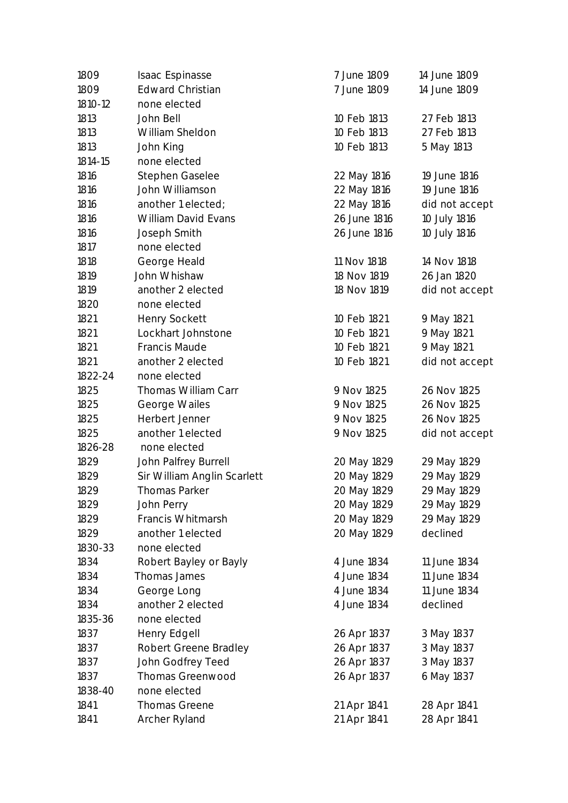| 1809    | Isaac Espinasse             | 7 June 1809  | 14 June 1809   |
|---------|-----------------------------|--------------|----------------|
| 1809    | <b>Edward Christian</b>     | 7 June 1809  | 14 June 1809   |
| 1810-12 | none elected                |              |                |
| 1813    | John Bell                   | 10 Feb 1813  | 27 Feb 1813    |
| 1813    | William Sheldon             | 10 Feb 1813  | 27 Feb 1813    |
| 1813    | John King                   | 10 Feb 1813  | 5 May 1813     |
| 1814-15 | none elected                |              |                |
| 1816    | <b>Stephen Gaselee</b>      | 22 May 1816  | 19 June 1816   |
| 1816    | John Williamson             | 22 May 1816  | 19 June 1816   |
| 1816    | another 1 elected;          | 22 May 1816  | did not accept |
| 1816    | William David Evans         | 26 June 1816 | 10 July 1816   |
| 1816    | Joseph Smith                | 26 June 1816 | 10 July 1816   |
| 1817    | none elected                |              |                |
| 1818    | George Heald                | 11 Nov 1818  | 14 Nov 1818    |
| 1819    | John Whishaw                | 18 Nov 1819  | 26 Jan 1820    |
| 1819    | another 2 elected           | 18 Nov 1819  | did not accept |
| 1820    | none elected                |              |                |
| 1821    | Henry Sockett               | 10 Feb 1821  | 9 May 1821     |
| 1821    | Lockhart Johnstone          | 10 Feb 1821  | 9 May 1821     |
| 1821    | Francis Maude               | 10 Feb 1821  | 9 May 1821     |
| 1821    | another 2 elected           | 10 Feb 1821  | did not accept |
| 1822-24 | none elected                |              |                |
| 1825    | Thomas William Carr         | 9 Nov 1825   | 26 Nov 1825    |
| 1825    | George Wailes               | 9 Nov 1825   | 26 Nov 1825    |
| 1825    | Herbert Jenner              | 9 Nov 1825   | 26 Nov 1825    |
| 1825    | another 1 elected           | 9 Nov 1825   | did not accept |
| 1826-28 | none elected                |              |                |
| 1829    | John Palfrey Burrell        | 20 May 1829  | 29 May 1829    |
| 1829    | Sir William Anglin Scarlett | 20 May 1829  | 29 May 1829    |
| 1829    | Thomas Parker               | 20 May 1829  | 29 May 1829    |
| 1829    | John Perry                  | 20 May 1829  | 29 May 1829    |
| 1829    | Francis Whitmarsh           | 20 May 1829  | 29 May 1829    |
| 1829    | another 1 elected           | 20 May 1829  | declined       |
| 1830-33 | none elected                |              |                |
| 1834    | Robert Bayley or Bayly      | 4 June 1834  | 11 June 1834   |
| 1834    | Thomas James                | 4 June 1834  | 11 June 1834   |
| 1834    | George Long                 | 4 June 1834  | 11 June 1834   |
| 1834    | another 2 elected           | 4 June 1834  | declined       |
| 1835-36 | none elected                |              |                |
| 1837    | Henry Edgell                | 26 Apr 1837  | 3 May 1837     |
| 1837    | Robert Greene Bradley       | 26 Apr 1837  | 3 May 1837     |
| 1837    | John Godfrey Teed           | 26 Apr 1837  | 3 May 1837     |
| 1837    | Thomas Greenwood            | 26 Apr 1837  | 6 May 1837     |
| 1838-40 | none elected                |              |                |
| 1841    | Thomas Greene               | 21 Apr 1841  | 28 Apr 1841    |
| 1841    | Archer Ryland               | 21 Apr 1841  | 28 Apr 1841    |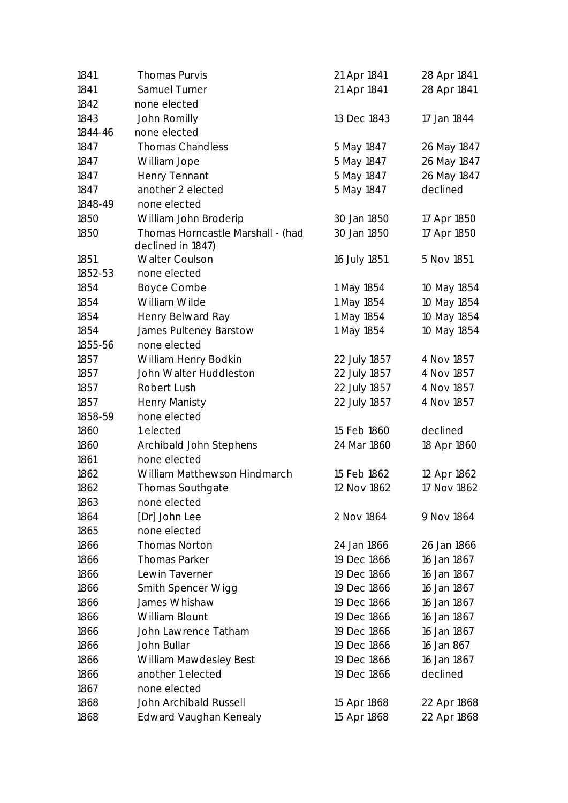| 1841    | <b>Thomas Purvis</b>              | 21 Apr 1841  | 28 Apr 1841 |
|---------|-----------------------------------|--------------|-------------|
| 1841    | Samuel Turner                     | 21 Apr 1841  | 28 Apr 1841 |
| 1842    | none elected                      |              |             |
| 1843    | John Romilly                      | 13 Dec 1843  | 17 Jan 1844 |
| 1844-46 | none elected                      |              |             |
| 1847    | <b>Thomas Chandless</b>           | 5 May 1847   | 26 May 1847 |
| 1847    | William Jope                      | 5 May 1847   | 26 May 1847 |
| 1847    | Henry Tennant                     | 5 May 1847   | 26 May 1847 |
| 1847    | another 2 elected                 | 5 May 1847   | declined    |
| 1848-49 | none elected                      |              |             |
| 1850    | William John Broderip             | 30 Jan 1850  | 17 Apr 1850 |
| 1850    | Thomas Horncastle Marshall - (had | 30 Jan 1850  | 17 Apr 1850 |
|         | declined in 1847)                 |              |             |
| 1851    | <b>Walter Coulson</b>             | 16 July 1851 | 5 Nov 1851  |
| 1852-53 | none elected                      |              |             |
| 1854    | <b>Boyce Combe</b>                | 1 May 1854   | 10 May 1854 |
| 1854    | William Wilde                     | 1 May 1854   | 10 May 1854 |
| 1854    | Henry Belward Ray                 | 1 May 1854   | 10 May 1854 |
| 1854    | James Pulteney Barstow            | 1 May 1854   | 10 May 1854 |
| 1855-56 | none elected                      |              |             |
| 1857    | William Henry Bodkin              | 22 July 1857 | 4 Nov 1857  |
| 1857    | John Walter Huddleston            | 22 July 1857 | 4 Nov 1857  |
| 1857    | Robert Lush                       | 22 July 1857 | 4 Nov 1857  |
| 1857    | Henry Manisty                     | 22 July 1857 | 4 Nov 1857  |
| 1858-59 | none elected                      |              |             |
| 1860    | 1 elected                         | 15 Feb 1860  | declined    |
| 1860    | Archibald John Stephens           | 24 Mar 1860  | 18 Apr 1860 |
| 1861    | none elected                      |              |             |
| 1862    | William Matthewson Hindmarch      | 15 Feb 1862  | 12 Apr 1862 |
| 1862    | Thomas Southgate                  | 12 Nov 1862  | 17 Nov 1862 |
| 1863    | none elected                      |              |             |
| 1864    | [Dr] John Lee                     | 2 Nov 1864   | 9 Nov 1864  |
| 1865    | none elected                      |              |             |
| 1866    | <b>Thomas Norton</b>              | 24 Jan 1866  | 26 Jan 1866 |
| 1866    | Thomas Parker                     | 19 Dec 1866  | 16 Jan 1867 |
| 1866    | Lewin Taverner                    | 19 Dec 1866  | 16 Jan 1867 |
| 1866    | Smith Spencer Wigg                | 19 Dec 1866  | 16 Jan 1867 |
| 1866    | James Whishaw                     | 19 Dec 1866  | 16 Jan 1867 |
| 1866    | William Blount                    | 19 Dec 1866  | 16 Jan 1867 |
| 1866    | John Lawrence Tatham              | 19 Dec 1866  | 16 Jan 1867 |
| 1866    | John Bullar                       | 19 Dec 1866  | 16 Jan 867  |
| 1866    | William Mawdesley Best            | 19 Dec 1866  | 16 Jan 1867 |
| 1866    | another 1 elected                 | 19 Dec 1866  | declined    |
| 1867    | none elected                      |              |             |
| 1868    | John Archibald Russell            | 15 Apr 1868  | 22 Apr 1868 |
| 1868    | Edward Vaughan Kenealy            | 15 Apr 1868  | 22 Apr 1868 |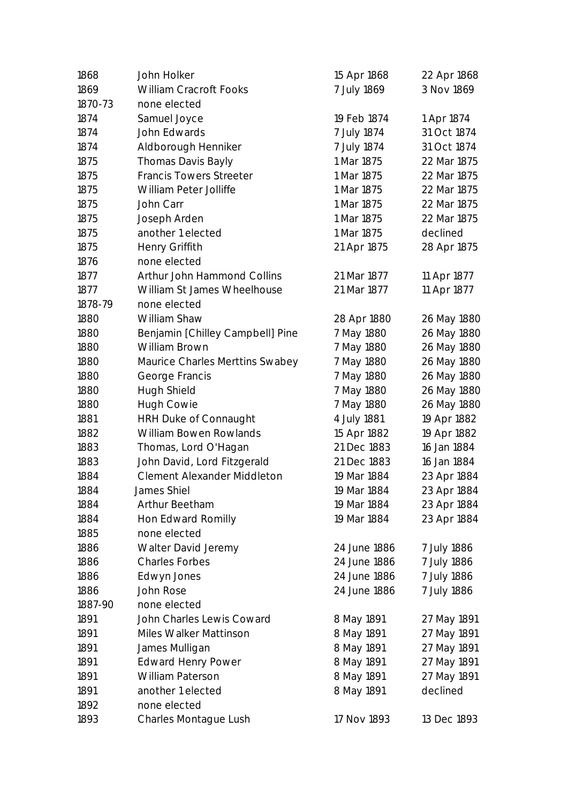| 1868    | John Holker                      | 15 Apr 1868  | 22 Apr 1868 |
|---------|----------------------------------|--------------|-------------|
| 1869    | William Cracroft Fooks           | 7 July 1869  | 3 Nov 1869  |
| 1870-73 | none elected                     |              |             |
| 1874    | Samuel Joyce                     | 19 Feb 1874  | 1 Apr 1874  |
| 1874    | John Edwards                     | 7 July 1874  | 31 Oct 1874 |
| 1874    | Aldborough Henniker              | 7 July 1874  | 31 Oct 1874 |
| 1875    | Thomas Davis Bayly               | 1 Mar 1875   | 22 Mar 1875 |
| 1875    | <b>Francis Towers Streeter</b>   | 1 Mar 1875   | 22 Mar 1875 |
| 1875    | William Peter Jolliffe           | 1 Mar 1875   | 22 Mar 1875 |
| 1875    | John Carr                        | 1 Mar 1875   | 22 Mar 1875 |
| 1875    | Joseph Arden                     | 1 Mar 1875   | 22 Mar 1875 |
| 1875    | another 1 elected                | 1 Mar 1875   | declined    |
| 1875    | Henry Griffith                   | 21 Apr 1875  | 28 Apr 1875 |
| 1876    | none elected                     |              |             |
| 1877    | Arthur John Hammond Collins      | 21 Mar 1877  | 11 Apr 1877 |
| 1877    | William St James Wheelhouse      | 21 Mar 1877  | 11 Apr 1877 |
| 1878-79 | none elected                     |              |             |
| 1880    | William Shaw                     | 28 Apr 1880  | 26 May 1880 |
| 1880    | Benjamin [Chilley Campbell] Pine | 7 May 1880   | 26 May 1880 |
| 1880    | William Brown                    | 7 May 1880   | 26 May 1880 |
| 1880    | Maurice Charles Merttins Swabey  | 7 May 1880   | 26 May 1880 |
| 1880    | George Francis                   | 7 May 1880   | 26 May 1880 |
| 1880    | Hugh Shield                      | 7 May 1880   | 26 May 1880 |
| 1880    | <b>Hugh Cowie</b>                | 7 May 1880   | 26 May 1880 |
| 1881    | <b>HRH Duke of Connaught</b>     | 4 July 1881  | 19 Apr 1882 |
| 1882    | William Bowen Rowlands           | 15 Apr 1882  | 19 Apr 1882 |
| 1883    | Thomas, Lord O'Hagan             | 21 Dec 1883  | 16 Jan 1884 |
| 1883    | John David, Lord Fitzgerald      | 21 Dec 1883  | 16 Jan 1884 |
| 1884    | Clement Alexander Middleton      | 19 Mar 1884  | 23 Apr 1884 |
| 1884    | James Shiel                      | 19 Mar 1884  | 23 Apr 1884 |
| 1884    | Arthur Beetham                   | 19 Mar 1884  | 23 Apr 1884 |
| 1884    | Hon Edward Romilly               | 19 Mar 1884  | 23 Apr 1884 |
| 1885    | none elected                     |              |             |
| 1886    | Walter David Jeremy              | 24 June 1886 | 7 July 1886 |
| 1886    | Charles Forbes                   | 24 June 1886 | 7 July 1886 |
| 1886    | Edwyn Jones                      | 24 June 1886 | 7 July 1886 |
| 1886    | John Rose                        | 24 June 1886 | 7 July 1886 |
| 1887-90 | none elected                     |              |             |
| 1891    | John Charles Lewis Coward        | 8 May 1891   | 27 May 1891 |
| 1891    | Miles Walker Mattinson           | 8 May 1891   | 27 May 1891 |
| 1891    | James Mulligan                   | 8 May 1891   | 27 May 1891 |
| 1891    | <b>Edward Henry Power</b>        | 8 May 1891   | 27 May 1891 |
| 1891    | <b>William Paterson</b>          | 8 May 1891   | 27 May 1891 |
| 1891    | another 1 elected                | 8 May 1891   | declined    |
| 1892    | none elected                     |              |             |
| 1893    | Charles Montague Lush            | 17 Nov 1893  | 13 Dec 1893 |
|         |                                  |              |             |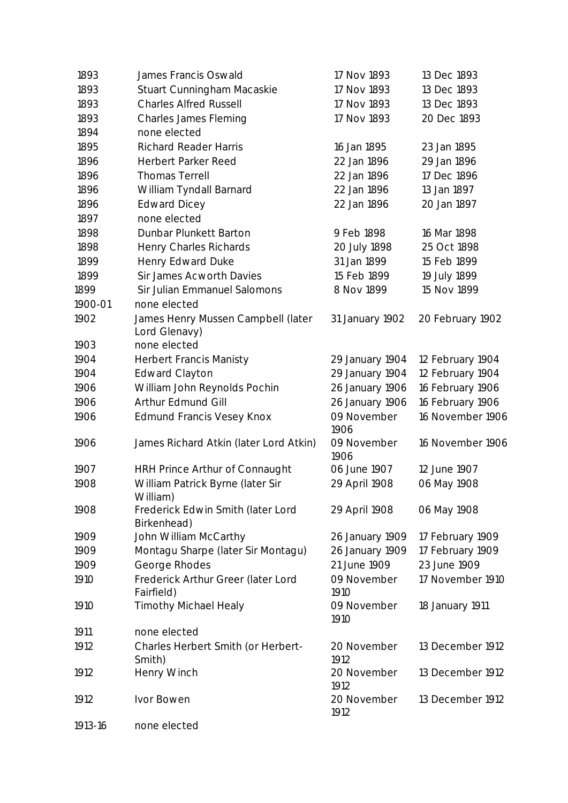| 1893    | James Francis Oswald                             | 17 Nov 1893         | 13 Dec 1893      |
|---------|--------------------------------------------------|---------------------|------------------|
| 1893    | Stuart Cunningham Macaskie                       | 17 Nov 1893         | 13 Dec 1893      |
| 1893    | <b>Charles Alfred Russell</b>                    | 17 Nov 1893         | 13 Dec 1893      |
| 1893    | Charles James Fleming                            | 17 Nov 1893         | 20 Dec 1893      |
| 1894    | none elected                                     |                     |                  |
| 1895    | <b>Richard Reader Harris</b>                     | 16 Jan 1895         | 23 Jan 1895      |
| 1896    | Herbert Parker Reed                              | 22 Jan 1896         | 29 Jan 1896      |
| 1896    | <b>Thomas Terrell</b>                            | 22 Jan 1896         | 17 Dec 1896      |
| 1896    | William Tyndall Barnard                          | 22 Jan 1896         | 13 Jan 1897      |
| 1896    | <b>Edward Dicey</b>                              | 22 Jan 1896         | 20 Jan 1897      |
| 1897    | none elected                                     |                     |                  |
| 1898    | Dunbar Plunkett Barton                           | 9 Feb 1898          | 16 Mar 1898      |
| 1898    | Henry Charles Richards                           | 20 July 1898        | 25 Oct 1898      |
| 1899    | Henry Edward Duke                                | 31 Jan 1899         | 15 Feb 1899      |
| 1899    | Sir James Acworth Davies                         | 15 Feb 1899         | 19 July 1899     |
| 1899    | Sir Julian Emmanuel Salomons                     | 8 Nov 1899          | 15 Nov 1899      |
| 1900-01 | none elected                                     |                     |                  |
| 1902    | James Henry Mussen Campbell (later               | 31 January 1902     | 20 February 1902 |
|         | Lord Glenavy)                                    |                     |                  |
| 1903    | none elected                                     |                     |                  |
| 1904    | <b>Herbert Francis Manisty</b>                   | 29 January 1904     | 12 February 1904 |
| 1904    | <b>Edward Clayton</b>                            | 29 January 1904     | 12 February 1904 |
| 1906    | William John Reynolds Pochin                     | 26 January 1906     | 16 February 1906 |
| 1906    | Arthur Edmund Gill                               | 26 January 1906     | 16 February 1906 |
| 1906    | <b>Edmund Francis Vesey Knox</b>                 | 09 November<br>1906 | 16 November 1906 |
| 1906    | James Richard Atkin (later Lord Atkin)           | 09 November<br>1906 | 16 November 1906 |
| 1907    | HRH Prince Arthur of Connaught                   | 06 June 1907        | 12 June 1907     |
| 1908    | William Patrick Byrne (later Sir                 | 29 April 1908       | 06 May 1908      |
|         | William)                                         |                     |                  |
| 1908    | Frederick Edwin Smith (later Lord<br>Birkenhead) | 29 April 1908       | 06 May 1908      |
| 1909    | John William McCarthy                            | 26 January 1909     | 17 February 1909 |
| 1909    | Montagu Sharpe (later Sir Montagu)               | 26 January 1909     | 17 February 1909 |
| 1909    | George Rhodes                                    | 21 June 1909        | 23 June 1909     |
| 1910    | Frederick Arthur Greer (later Lord<br>Fairfield) | 09 November<br>1910 | 17 November 1910 |
| 1910    | <b>Timothy Michael Healy</b>                     | 09 November<br>1910 | 18 January 1911  |
| 1911    | none elected                                     |                     |                  |
| 1912    | Charles Herbert Smith (or Herbert-               | 20 November         | 13 December 1912 |
|         | Smith)                                           | 1912                |                  |
| 1912    | Henry Winch                                      | 20 November<br>1912 | 13 December 1912 |
| 1912    | Ivor Bowen                                       | 20 November<br>1912 | 13 December 1912 |
| 1913-16 | none elected                                     |                     |                  |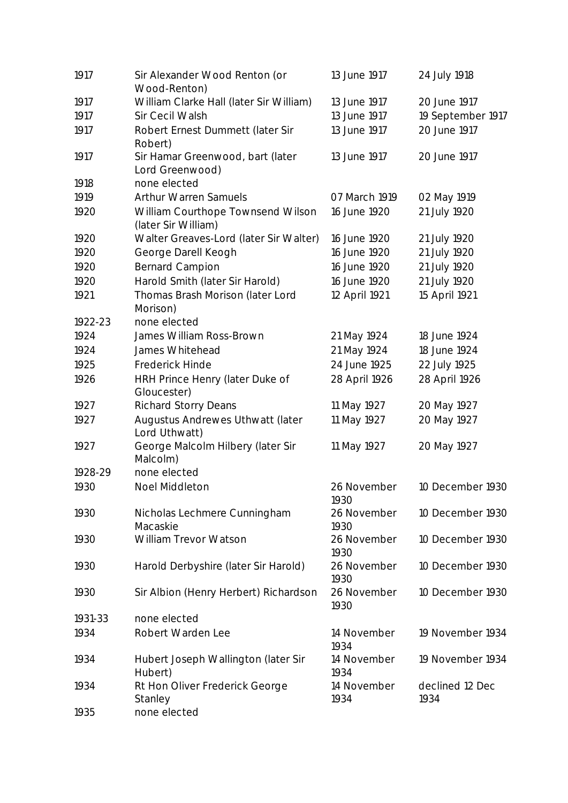| 1917    | Sir Alexander Wood Renton (or<br>Wood-Renton)            | 13 June 1917        | 24 July 1918            |
|---------|----------------------------------------------------------|---------------------|-------------------------|
| 1917    | William Clarke Hall (later Sir William)                  | 13 June 1917        | 20 June 1917            |
| 1917    | Sir Cecil Walsh                                          | 13 June 1917        | 19 September 1917       |
| 1917    | Robert Ernest Dummett (later Sir<br>Robert)              | 13 June 1917        | 20 June 1917            |
| 1917    | Sir Hamar Greenwood, bart (later<br>Lord Greenwood)      | 13 June 1917        | 20 June 1917            |
| 1918    | none elected                                             |                     |                         |
| 1919    | Arthur Warren Samuels                                    | 07 March 1919       | 02 May 1919             |
| 1920    | William Courthope Townsend Wilson<br>(later Sir William) | 16 June 1920        | 21 July 1920            |
| 1920    | Walter Greaves-Lord (later Sir Walter)                   | 16 June 1920        | 21 July 1920            |
| 1920    | George Darell Keogh                                      | 16 June 1920        | 21 July 1920            |
| 1920    | <b>Bernard Campion</b>                                   | 16 June 1920        | 21 July 1920            |
| 1920    | Harold Smith (later Sir Harold)                          | 16 June 1920        | 21 July 1920            |
| 1921    | Thomas Brash Morison (later Lord<br>Morison)             | 12 April 1921       | 15 April 1921           |
| 1922-23 | none elected                                             |                     |                         |
| 1924    | James William Ross-Brown                                 | 21 May 1924         | 18 June 1924            |
| 1924    | James Whitehead                                          | 21 May 1924         | 18 June 1924            |
| 1925    | <b>Frederick Hinde</b>                                   | 24 June 1925        | 22 July 1925            |
| 1926    | HRH Prince Henry (later Duke of<br>Gloucester)           | 28 April 1926       | 28 April 1926           |
| 1927    | <b>Richard Storry Deans</b>                              | 11 May 1927         | 20 May 1927             |
| 1927    | Augustus Andrewes Uthwatt (later<br>Lord Uthwatt)        | 11 May 1927         | 20 May 1927             |
| 1927    | George Malcolm Hilbery (later Sir<br>Malcolm)            | 11 May 1927         | 20 May 1927             |
| 1928-29 | none elected                                             |                     |                         |
| 1930    | Noel Middleton                                           | 26 November<br>1930 | 10 December 1930        |
| 1930    | Nicholas Lechmere Cunningham<br>Macaskie                 | 26 November<br>1930 | 10 December 1930        |
| 1930    | William Trevor Watson                                    | 26 November<br>1930 | 10 December 1930        |
| 1930    | Harold Derbyshire (later Sir Harold)                     | 26 November<br>1930 | 10 December 1930        |
| 1930    | Sir Albion (Henry Herbert) Richardson                    | 26 November<br>1930 | 10 December 1930        |
| 1931-33 | none elected                                             |                     |                         |
| 1934    | Robert Warden Lee                                        | 14 November<br>1934 | 19 November 1934        |
| 1934    | Hubert Joseph Wallington (later Sir<br>Hubert)           | 14 November<br>1934 | 19 November 1934        |
| 1934    | Rt Hon Oliver Frederick George<br>Stanley                | 14 November<br>1934 | declined 12 Dec<br>1934 |
| 1935    | none elected                                             |                     |                         |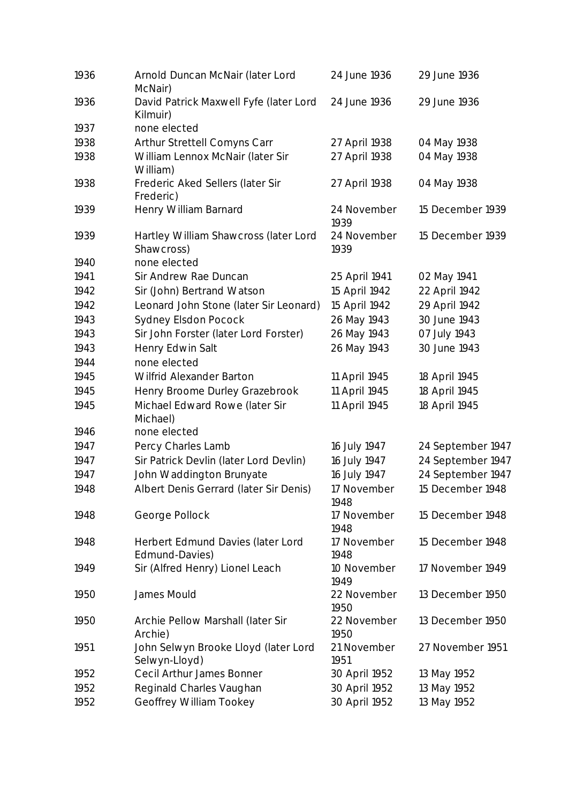| 1936 | Arnold Duncan McNair (later Lord<br>McNair)           | 24 June 1936        | 29 June 1936      |
|------|-------------------------------------------------------|---------------------|-------------------|
| 1936 | David Patrick Maxwell Fyfe (later Lord<br>Kilmuir)    | 24 June 1936        | 29 June 1936      |
| 1937 | none elected                                          |                     |                   |
| 1938 | Arthur Strettell Comyns Carr                          | 27 April 1938       | 04 May 1938       |
| 1938 | William Lennox McNair (later Sir<br>William)          | 27 April 1938       | 04 May 1938       |
| 1938 | Frederic Aked Sellers (later Sir<br>Frederic)         | 27 April 1938       | 04 May 1938       |
| 1939 | Henry William Barnard                                 | 24 November<br>1939 | 15 December 1939  |
| 1939 | Hartley William Shawcross (later Lord<br>Shawcross)   | 24 November<br>1939 | 15 December 1939  |
| 1940 | none elected                                          |                     |                   |
| 1941 | Sir Andrew Rae Duncan                                 | 25 April 1941       | 02 May 1941       |
| 1942 | Sir (John) Bertrand Watson                            | 15 April 1942       | 22 April 1942     |
| 1942 | Leonard John Stone (later Sir Leonard)                | 15 April 1942       | 29 April 1942     |
| 1943 | Sydney Elsdon Pocock                                  | 26 May 1943         | 30 June 1943      |
| 1943 | Sir John Forster (later Lord Forster)                 | 26 May 1943         | 07 July 1943      |
| 1943 | Henry Edwin Salt                                      | 26 May 1943         | 30 June 1943      |
| 1944 | none elected                                          |                     |                   |
| 1945 | Wilfrid Alexander Barton                              | 11 April 1945       | 18 April 1945     |
| 1945 | Henry Broome Durley Grazebrook                        | 11 April 1945       | 18 April 1945     |
| 1945 | Michael Edward Rowe (later Sir<br>Michael)            | 11 April 1945       | 18 April 1945     |
| 1946 | none elected                                          |                     |                   |
| 1947 | Percy Charles Lamb                                    | 16 July 1947        | 24 September 1947 |
| 1947 | Sir Patrick Devlin (later Lord Devlin)                | 16 July 1947        | 24 September 1947 |
| 1947 | John Waddington Brunyate                              | 16 July 1947        | 24 September 1947 |
| 1948 | Albert Denis Gerrard (later Sir Denis)                | 17 November<br>1948 | 15 December 1948  |
| 1948 | George Pollock                                        | 17 November<br>1948 | 15 December 1948  |
| 1948 | Herbert Edmund Davies (later Lord<br>Edmund-Davies)   | 17 November<br>1948 | 15 December 1948  |
| 1949 | Sir (Alfred Henry) Lionel Leach                       | 10 November<br>1949 | 17 November 1949  |
| 1950 | James Mould                                           | 22 November<br>1950 | 13 December 1950  |
| 1950 | Archie Pellow Marshall (later Sir<br>Archie)          | 22 November<br>1950 | 13 December 1950  |
| 1951 | John Selwyn Brooke Lloyd (later Lord<br>Selwyn-Lloyd) | 21 November<br>1951 | 27 November 1951  |
| 1952 | Cecil Arthur James Bonner                             | 30 April 1952       | 13 May 1952       |
| 1952 | Reginald Charles Vaughan                              | 30 April 1952       | 13 May 1952       |
| 1952 | Geoffrey William Tookey                               | 30 April 1952       | 13 May 1952       |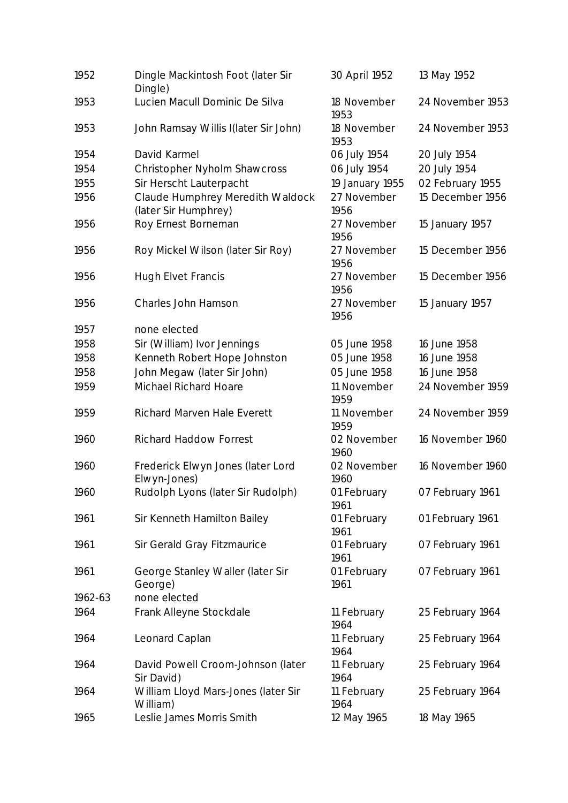| 1952    | Dingle Mackintosh Foot (later Sir<br>Dingle)      | 30 April 1952       | 13 May 1952      |
|---------|---------------------------------------------------|---------------------|------------------|
| 1953    | Lucien Macull Dominic De Silva                    | 18 November<br>1953 | 24 November 1953 |
| 1953    | John Ramsay Willis I(later Sir John)              | 18 November<br>1953 | 24 November 1953 |
| 1954    | David Karmel                                      | 06 July 1954        | 20 July 1954     |
| 1954    | Christopher Nyholm Shawcross                      | 06 July 1954        | 20 July 1954     |
| 1955    | Sir Herscht Lauterpacht                           | 19 January 1955     | 02 February 1955 |
| 1956    | Claude Humphrey Meredith Waldock                  | 27 November         | 15 December 1956 |
|         | (later Sir Humphrey)                              | 1956                |                  |
| 1956    | Roy Ernest Borneman                               | 27 November<br>1956 | 15 January 1957  |
| 1956    | Roy Mickel Wilson (later Sir Roy)                 | 27 November<br>1956 | 15 December 1956 |
| 1956    | <b>Hugh Elvet Francis</b>                         | 27 November<br>1956 | 15 December 1956 |
| 1956    | Charles John Hamson                               | 27 November<br>1956 | 15 January 1957  |
| 1957    | none elected                                      |                     |                  |
| 1958    | Sir (William) Ivor Jennings                       | 05 June 1958        | 16 June 1958     |
| 1958    | Kenneth Robert Hope Johnston                      | 05 June 1958        | 16 June 1958     |
| 1958    | John Megaw (later Sir John)                       | 05 June 1958        | 16 June 1958     |
| 1959    | Michael Richard Hoare                             | 11 November<br>1959 | 24 November 1959 |
| 1959    | Richard Marven Hale Everett                       | 11 November<br>1959 | 24 November 1959 |
| 1960    | <b>Richard Haddow Forrest</b>                     | 02 November<br>1960 | 16 November 1960 |
| 1960    | Frederick Elwyn Jones (later Lord<br>Elwyn-Jones) | 02 November<br>1960 | 16 November 1960 |
| 1960    | Rudolph Lyons (later Sir Rudolph)                 | 01 February<br>1961 | 07 February 1961 |
| 1961    | Sir Kenneth Hamilton Bailey                       | 01 February<br>1961 | 01 February 1961 |
| 1961    | Sir Gerald Gray Fitzmaurice                       | 01 February<br>1961 | 07 February 1961 |
| 1961    | George Stanley Waller (later Sir<br>George)       | 01 February<br>1961 | 07 February 1961 |
| 1962-63 | none elected                                      |                     |                  |
| 1964    | Frank Alleyne Stockdale                           | 11 February<br>1964 | 25 February 1964 |
| 1964    | Leonard Caplan                                    | 11 February<br>1964 | 25 February 1964 |
| 1964    | David Powell Croom-Johnson (later<br>Sir David)   | 11 February<br>1964 | 25 February 1964 |
| 1964    | William Lloyd Mars-Jones (later Sir<br>William)   | 11 February<br>1964 | 25 February 1964 |
| 1965    | Leslie James Morris Smith                         | 12 May 1965         | 18 May 1965      |